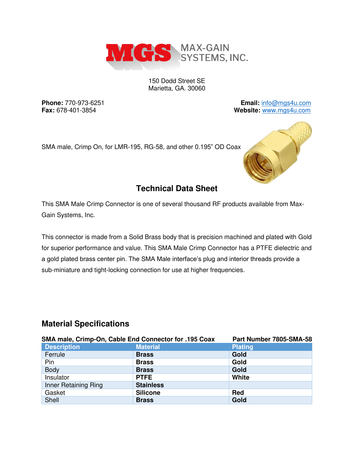

150 Dodd Street SE Marietta, GA. 30060

**Phone:** 770-973-6251 **Email:** [info@mgs4u.com](mailto:info@mgs4u.com) **Fax:** 678-401-3854 **Website:** [www.mgs4u.com](http://www.mgs4u.com/)

SMA male, Crimp On, for LMR-195, RG-58, and other 0.195" OD Coax



# **Technical Data Sheet**

This SMA Male Crimp Connector is one of several thousand RF products available from Max-Gain Systems, Inc.

This connector is made from a Solid Brass body that is precision machined and plated with Gold for superior performance and value. This SMA Male Crimp Connector has a PTFE dielectric and a gold plated brass center pin. The SMA Male interface's plug and interior threads provide a sub-miniature and tight-locking connection for use at higher frequencies.

## **Material Specifications**

| SMA male, Crimp-On, Cable End Connector for .195 Coax |                  | Part Number 7805-SMA-58 |
|-------------------------------------------------------|------------------|-------------------------|
| <b>Description</b>                                    | <b>Material</b>  | <b>Plating</b>          |
| Ferrule                                               | <b>Brass</b>     | Gold                    |
| Pin                                                   | <b>Brass</b>     | Gold                    |
| <b>Body</b>                                           | <b>Brass</b>     | Gold                    |
| Insulator                                             | <b>PTFE</b>      | White                   |
| Inner Retaining Ring                                  | <b>Stainless</b> |                         |
| Gasket                                                | <b>Silicone</b>  | <b>Red</b>              |
| Shell                                                 | <b>Brass</b>     | Gold                    |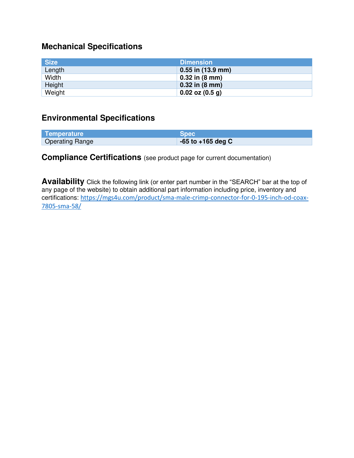## **Mechanical Specifications**

| <b>Size</b> | <b>Dimension</b>           |
|-------------|----------------------------|
| Length      | $0.55$ in $(13.9$ mm)      |
| Width       | $0.32$ in $(8 \text{ mm})$ |
| Height      | $0.32$ in $(8 \text{ mm})$ |
| Weight      | $0.02$ oz $(0.5$ g)        |

## **Environmental Specifications**

| Temperature            | <b>Spec</b>           |
|------------------------|-----------------------|
| <b>Operating Range</b> | $-65$ to $+165$ deg C |

## **Compliance Certifications** (see product page for current documentation)

**Availability** Click the following link (or enter part number in the "SEARCH" bar at the top of any page of the website) to obtain additional part information including price, inventory and certifications: [https://mgs4u.com/product/sma-male-crimp-connector-for-0-195-inch-od-coax-](https://mgs4u.com/product/sma-male-crimp-connector-for-0-195-inch-od-coax-7805-sma-58/)[7805-sma-58/](https://mgs4u.com/product/sma-male-crimp-connector-for-0-195-inch-od-coax-7805-sma-58/)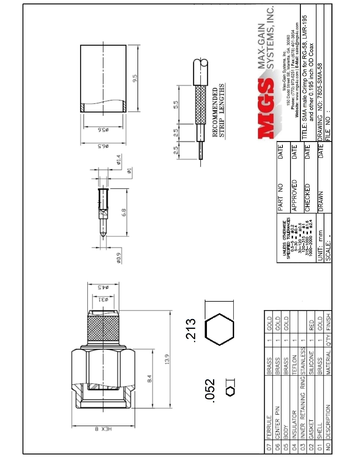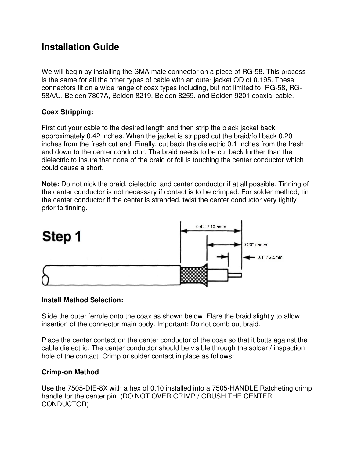# **Installation Guide**

We will begin by installing the SMA male connector on a piece of RG-58. This process is the same for all the other types of cable with an outer jacket OD of 0.195. These connectors fit on a wide range of coax types including, but not limited to: RG-58, RG-58A/U, Belden 7807A, Belden 8219, Belden 8259, and Belden 9201 coaxial cable.

## **Coax Stripping:**

First cut your cable to the desired length and then strip the black jacket back approximately 0.42 inches. When the jacket is stripped cut the braid/foil back 0.20 inches from the fresh cut end. Finally, cut back the dielectric 0.1 inches from the fresh end down to the center conductor. The braid needs to be cut back further than the dielectric to insure that none of the braid or foil is touching the center conductor which could cause a short.

**Note:** Do not nick the braid, dielectric, and center conductor if at all possible. Tinning of the center conductor is not necessary if contact is to be crimped. For solder method, tin the center conductor if the center is stranded. twist the center conductor very tightly prior to tinning.



#### **Install Method Selection:**

Slide the outer ferrule onto the coax as shown below. Flare the braid slightly to allow insertion of the connector main body. Important: Do not comb out braid.

Place the center contact on the center conductor of the coax so that it butts against the cable dielectric. The center conductor should be visible through the solder / inspection hole of the contact. Crimp or solder contact in place as follows:

### **Crimp-on Method**

Use the 7505-DIE-8X with a hex of 0.10 installed into a 7505-HANDLE Ratcheting crimp handle for the center pin. (DO NOT OVER CRIMP / CRUSH THE CENTER CONDUCTOR)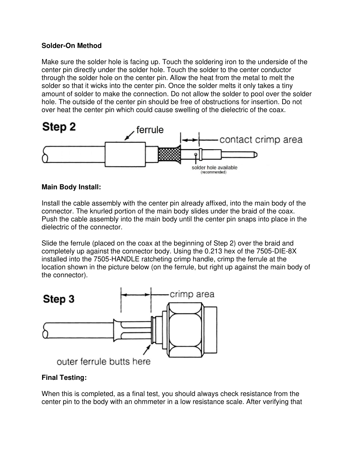#### **Solder-On Method**

Make sure the solder hole is facing up. Touch the soldering iron to the underside of the center pin directly under the solder hole. Touch the solder to the center conductor through the solder hole on the center pin. Allow the heat from the metal to melt the solder so that it wicks into the center pin. Once the solder melts it only takes a tiny amount of solder to make the connection. Do not allow the solder to pool over the solder hole. The outside of the center pin should be free of obstructions for insertion. Do not over heat the center pin which could cause swelling of the dielectric of the coax.



### **Main Body Install:**

Install the cable assembly with the center pin already affixed, into the main body of the connector. The knurled portion of the main body slides under the braid of the coax. Push the cable assembly into the main body until the center pin snaps into place in the dielectric of the connector.

Slide the ferrule (placed on the coax at the beginning of Step 2) over the braid and completely up against the connector body. Using the 0.213 hex of the 7505-DIE-8X installed into the 7505-HANDLE ratcheting crimp handle, crimp the ferrule at the location shown in the picture below (on the ferrule, but right up against the main body of the connector).



#### **Final Testing:**

When this is completed, as a final test, you should always check resistance from the center pin to the body with an ohmmeter in a low resistance scale. After verifying that